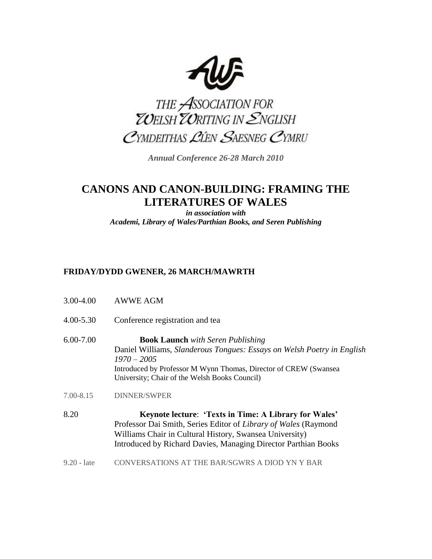

THE ASSOCIATION FOR<br>ZOELSH ZORITING IN ENGLISH CYMDEITHAS LIEN SAESNEG CYMRU

*Annual Conference 26-28 March 2010*

# **CANONS AND CANON-BUILDING: FRAMING THE LITERATURES OF WALES**

*in association with Academi, Library of Wales/Parthian Books, and Seren Publishing*

## **FRIDAY/DYDD GWENER, 26 MARCH/MAWRTH**

- 3.00-4.00 AWWE AGM
- 4.00-5.30 Conference registration and tea
- 6.00-7.00 **Book Launch** *with Seren Publishing* Daniel Williams, *Slanderous Tongues: Essays on Welsh Poetry in English 1970 – 2005* Introduced by Professor M Wynn Thomas, Director of CREW (Swansea University; Chair of the Welsh Books Council)
- 7.00-8.15 DINNER/SWPER
- 8.20 **Keynote lecture**: **'Texts in Time: A Library for Wales'** Professor Dai Smith, Series Editor of *Library of Wales* (Raymond Williams Chair in Cultural History, Swansea University) Introduced by Richard Davies, Managing Director Parthian Books
- 9.20 late CONVERSATIONS AT THE BAR/SGWRS A DIOD YN Y BAR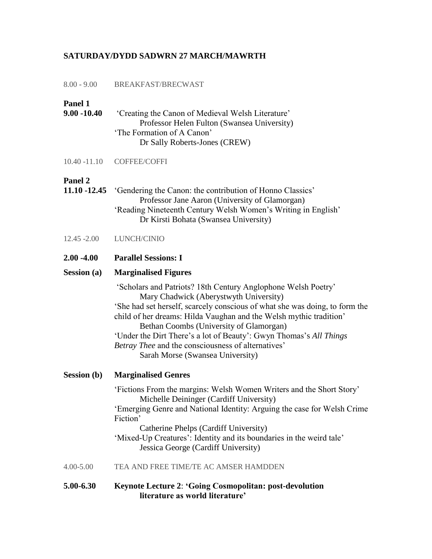#### **SATURDAY/DYDD SADWRN 27 MARCH/MAWRTH**

|  | $8.00 - 9.00$ | BREAKFAST/BRECWAST |
|--|---------------|--------------------|
|--|---------------|--------------------|

## **Panel 1**

- **9.00 -10.40** 'Creating the Canon of Medieval Welsh Literature' Professor Helen Fulton (Swansea University) 'The Formation of A Canon' Dr Sally Roberts-Jones (CREW)
- 10.40 -11.10 COFFEE/COFFI

#### **Panel 2**

- **11.10 -12.45** 'Gendering the Canon: the contribution of Honno Classics' Professor Jane Aaron (University of Glamorgan) 'Reading Nineteenth Century Welsh Women's Writing in English' Dr Kirsti Bohata (Swansea University)
- 12.45 -2.00 LUNCH/CINIO
- **2.00 -4.00 Parallel Sessions: I**

#### **Session (a) Marginalised Figures**

'Scholars and Patriots? 18th Century Anglophone Welsh Poetry' Mary Chadwick (Aberystwyth University) 'She had set herself, scarcely conscious of what she was doing, to form the child of her dreams: Hilda Vaughan and the Welsh mythic tradition' Bethan Coombs (University of Glamorgan) 'Under the Dirt There's a lot of Beauty': Gwyn Thomas's *All Things Betray Thee* and the consciousness of alternatives' Sarah Morse (Swansea University)

**Session (b) Marginalised Genres**

'Fictions From the margins: Welsh Women Writers and the Short Story' Michelle Deininger (Cardiff University) 'Emerging Genre and National Identity: Arguing the case for Welsh Crime Fiction' Catherine Phelps (Cardiff University)

'Mixed-Up Creatures': Identity and its boundaries in the weird tale' Jessica George (Cardiff University)

- 4.00-5.00 TEA AND FREE TIME/TE AC AMSER HAMDDEN
- **5.00-6.30 Keynote Lecture 2**: **'Going Cosmopolitan: post-devolution literature as world literature'**